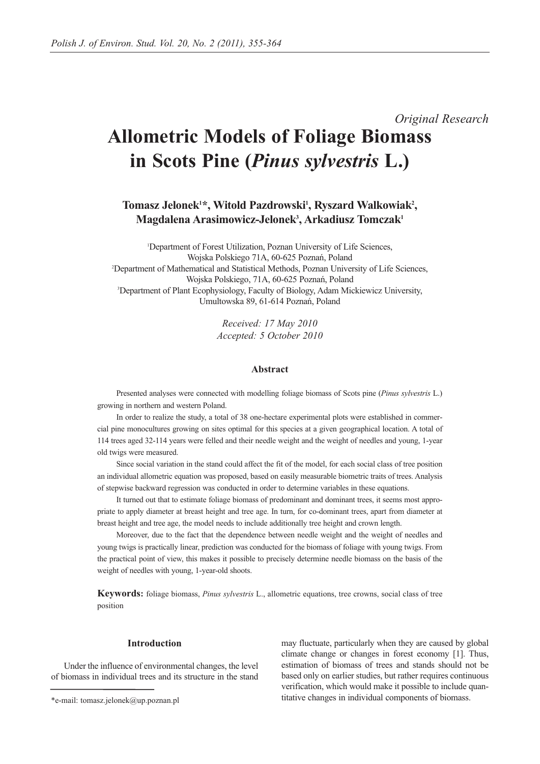*Original Research*

# **Allometric Models of Foliage Biomass in Scots Pine (***Pinus sylvestris* **L.)**

Tomasz Jelonek<sup>1\*</sup>, Witold Pazdrowski<sup>1</sup>, Ryszard Walkowiak<sup>2</sup>, **Magdalena Arasimowicz-Jelonek3 , Arkadiusz Tomczak1**

1 Department of Forest Utilization, Poznan University of Life Sciences, Wojska Polskiego 71A, 60-625 Poznań, Poland 2 Department of Mathematical and Statistical Methods, Poznan University of Life Sciences, Wojska Polskiego, 71A, 60-625 Poznań, Poland 3 Department of Plant Ecophysiology, Faculty of Biology, Adam Mickiewicz University, Umultowska 89, 61-614 Poznań, Poland

> *Received: 17 May 2010 Accepted: 5 October 2010*

### **Abstract**

Presented analyses were connected with modelling foliage biomass of Scots pine (*Pinus sylvestris* L.) growing in northern and western Poland.

In order to realize the study, a total of 38 one-hectare experimental plots were established in commercial pine monocultures growing on sites optimal for this species at a given geographical location. A total of 114 trees aged 32-114 years were felled and their needle weight and the weight of needles and young, 1-year old twigs were measured.

Since social variation in the stand could affect the fit of the model, for each social class of tree position an individual allometric equation was proposed, based on easily measurable biometric traits of trees. Analysis of stepwise backward regression was conducted in order to determine variables in these equations.

It turned out that to estimate foliage biomass of predominant and dominant trees, it seems most appropriate to apply diameter at breast height and tree age. In turn, for co-dominant trees, apart from diameter at breast height and tree age, the model needs to include additionally tree height and crown length.

Moreover, due to the fact that the dependence between needle weight and the weight of needles and young twigs is practically linear, prediction was conducted for the biomass of foliage with young twigs. From the practical point of view, this makes it possible to precisely determine needle biomass on the basis of the weight of needles with young, 1-year-old shoots.

**Keywords:** foliage biomass, *Pinus sylvestris* L., allometric equations, tree crowns, social class of tree position

## **Introduction**

Under the influence of environmental changes, the level of biomass in individual trees and its structure in the stand

may fluctuate, particularly when they are caused by global climate change or changes in forest economy [1]. Thus, estimation of biomass of trees and stands should not be based only on earlier studies, but rather requires continuous verification, which would make it possible to include quantitative changes in individual components of biomass.

<sup>\*</sup>e-mail: tomasz.jelonek@up.poznan.pl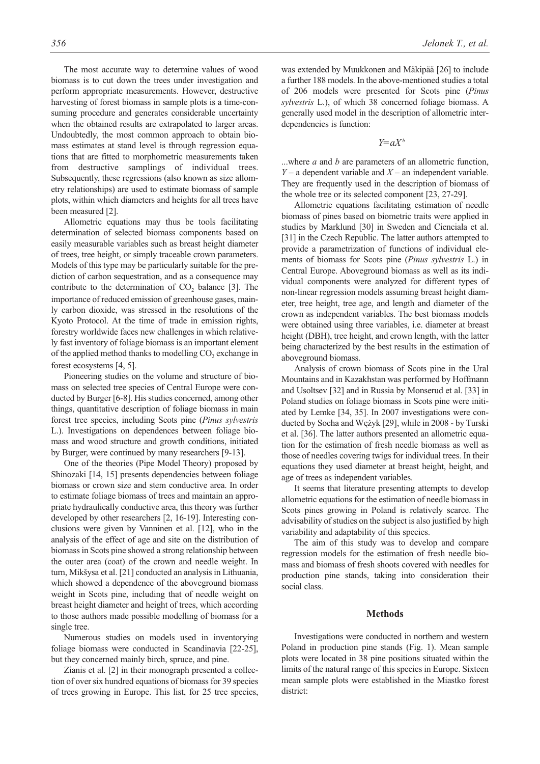The most accurate way to determine values of wood biomass is to cut down the trees under investigation and perform appropriate measurements. However, destructive harvesting of forest biomass in sample plots is a time-consuming procedure and generates considerable uncertainty when the obtained results are extrapolated to larger areas. Undoubtedly, the most common approach to obtain biomass estimates at stand level is through regression equations that are fitted to morphometric measurements taken from destructive samplings of individual trees. Subsequently, these regressions (also known as size allometry relationships) are used to estimate biomass of sample plots, within which diameters and heights for all trees have been measured [2].

Allometric equations may thus be tools facilitating determination of selected biomass components based on easily measurable variables such as breast height diameter of trees, tree height, or simply traceable crown parameters. Models of this type may be particularly suitable for the prediction of carbon sequestration, and as a consequence may contribute to the determination of  $CO<sub>2</sub>$  balance [3]. The importance of reduced emission of greenhouse gases, mainly carbon dioxide, was stressed in the resolutions of the Kyoto Protocol. At the time of trade in emission rights, forestry worldwide faces new challenges in which relatively fast inventory of foliage biomass is an important element of the applied method thanks to modelling  $CO<sub>2</sub>$  exchange in forest ecosystems [4, 5].

Pioneering studies on the volume and structure of biomass on selected tree species of Central Europe were conducted by Burger [6-8]. His studies concerned, among other things, quantitative description of foliage biomass in main forest tree species, including Scots pine (*Pinus sylvestris* L.). Investigations on dependences between foliage biomass and wood structure and growth conditions, initiated by Burger, were continued by many researchers [9-13].

One of the theories (Pipe Model Theory) proposed by Shinozaki [14, 15] presents dependencies between foliage biomass or crown size and stem conductive area. In order to estimate foliage biomass of trees and maintain an appropriate hydraulically conductive area, this theory was further developed by other researchers [2, 16-19]. Interesting conclusions were given by Vanninen et al. [12], who in the analysis of the effect of age and site on the distribution of biomass in Scots pine showed a strong relationship between the outer area (coat) of the crown and needle weight. In turn, Mikšysa et al. [21] conducted an analysis in Lithuania, which showed a dependence of the aboveground biomass weight in Scots pine, including that of needle weight on breast height diameter and height of trees, which according to those authors made possible modelling of biomass for a single tree.

Numerous studies on models used in inventorying foliage biomass were conducted in Scandinavia [22-25], but they concerned mainly birch, spruce, and pine.

Zianis et al. [2] in their monograph presented a collection of over six hundred equations of biomass for 39 species of trees growing in Europe. This list, for 25 tree species, was extended by Muukkonen and Mäkipää [26] to include a further 188 models. In the above-mentioned studies a total of 206 models were presented for Scots pine (*Pinus sylvestris* L.), of which 38 concerned foliage biomass. A generally used model in the description of allometric interdependencies is function:

*Y=aXb*

...where *a* and *b* are parameters of an allometric function, *Y* – a dependent variable and *X* – an independent variable. They are frequently used in the description of biomass of the whole tree or its selected component [23, 27-29].

Allometric equations facilitating estimation of needle biomass of pines based on biometric traits were applied in studies by Marklund [30] in Sweden and Cienciala et al. [31] in the Czech Republic. The latter authors attempted to provide a parametrization of functions of individual elements of biomass for Scots pine (*Pinus sylvestris* L.) in Central Europe. Aboveground biomass as well as its individual components were analyzed for different types of non-linear regression models assuming breast height diameter, tree height, tree age, and length and diameter of the crown as independent variables. The best biomass models were obtained using three variables, i.e. diameter at breast height (DBH), tree height, and crown length, with the latter being characterized by the best results in the estimation of aboveground biomass.

Analysis of crown biomass of Scots pine in the Ural Mountains and in Kazakhstan was performed by Hoffmann and Usoltsev [32] and in Russia by Monserud et al. [33] in Poland studies on foliage biomass in Scots pine were initiated by Lemke [34, 35]. In 2007 investigations were conducted by Socha and Wężyk [29], while in 2008 - by Turski et al. [36]. The latter authors presented an allometric equation for the estimation of fresh needle biomass as well as those of needles covering twigs for individual trees. In their equations they used diameter at breast height, height, and age of trees as independent variables.

It seems that literature presenting attempts to develop allometric equations for the estimation of needle biomass in Scots pines growing in Poland is relatively scarce. The advisability of studies on the subject is also justified by high variability and adaptability of this species.

The aim of this study was to develop and compare regression models for the estimation of fresh needle biomass and biomass of fresh shoots covered with needles for production pine stands, taking into consideration their social class.

## **Methods**

Investigations were conducted in northern and western Poland in production pine stands (Fig. 1). Mean sample plots were located in 38 pine positions situated within the limits of the natural range of this species in Europe. Sixteen mean sample plots were established in the Miastko forest district: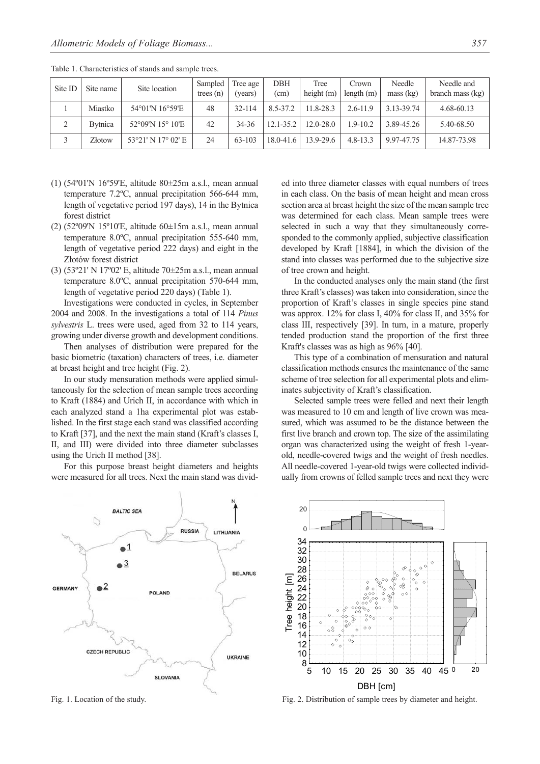| Site ID | Site name       | Site location      | Sampled<br>trees $(n)$ | Tree age<br>(years) | DBH<br>(cm)   | Tree<br>height $(m)$ | Crown<br>length $(m)$ | Needle<br>mass (kg) | Needle and<br>branch mass $(kg)$ |
|---------|-----------------|--------------------|------------------------|---------------------|---------------|----------------------|-----------------------|---------------------|----------------------------------|
|         | Miastko         | 54°01'N 16°59'E    | 48                     | 32-114              | 8.5-37.2      | 11.8-28.3            | $2.6 - 11.9$          | 3.13-39.74          | 4.68-60.13                       |
|         | <b>B</b> ytnica | 52°09'N 15° 10'E   | 42                     | 34-36               | 12.1-35.2     | $12.0 - 28.0$        | $1.9 - 10.2$          | 3.89-45.26          | 5.40-68.50                       |
|         | Złotow          | 53°21′ N 17° 02′ E | 24                     | 63-103              | $18.0 - 41.6$ | 13.9-29.6            | $4.8 - 13.3$          | 9.97-47.75          | 14.87-73.98                      |

Table 1. Characteristics of stands and sample trees.

- (1) (54º01'N 16º59'E, altitude 80±25m a.s.l., mean annual temperature 7.2ºC, annual precipitation 566-644 mm, length of vegetative period 197 days), 14 in the Bytnica forest district
- (2) (52º09'N 15º10'E, altitude 60±15m a.s.l., mean annual temperature 8.0ºC, annual precipitation 555-640 mm, length of vegetative period 222 days) and eight in the Złotów forest district
- (3) (53º21' N 17º02' E, altitude 70±25m a.s.l., mean annual temperature 8.0ºC, annual precipitation 570-644 mm, length of vegetative period 220 days) (Table 1).

Investigations were conducted in cycles, in September 2004 and 2008. In the investigations a total of 114 *Pinus sylvestris* L. trees were used, aged from 32 to 114 years, growing under diverse growth and development conditions.

Then analyses of distribution were prepared for the basic biometric (taxation) characters of trees, i.e. diameter at breast height and tree height (Fig. 2).

In our study mensuration methods were applied simultaneously for the selection of mean sample trees according to Kraft (1884) and Urich II, in accordance with which in each analyzed stand a 1ha experimental plot was established. In the first stage each stand was classified according to Kraft [37], and the next the main stand (Kraft's classes I, II, and III) were divided into three diameter subclasses using the Urich II method [38].

For this purpose breast height diameters and heights were measured for all trees. Next the main stand was divid-



Fig. 1. Location of the study.

ed into three diameter classes with equal numbers of trees in each class. On the basis of mean height and mean cross section area at breast height the size of the mean sample tree was determined for each class. Mean sample trees were selected in such a way that they simultaneously corresponded to the commonly applied, subjective classification developed by Kraft [1884], in which the division of the stand into classes was performed due to the subjective size of tree crown and height.

In the conducted analyses only the main stand (the first three Kraft's classes) was taken into consideration, since the proportion of Kraft's classes in single species pine stand was approx. 12% for class I, 40% for class II, and 35% for class III, respectively [39]. In turn, in a mature, properly tended production stand the proportion of the first three Kraft's classes was as high as 96% [40].

This type of a combination of mensuration and natural classification methods ensures the maintenance of the same scheme of tree selection for all experimental plots and eliminates subjectivity of Kraft's classification.

Selected sample trees were felled and next their length was measured to 10 cm and length of live crown was measured, which was assumed to be the distance between the first live branch and crown top. The size of the assimilating organ was characterized using the weight of fresh 1-yearold, needle-covered twigs and the weight of fresh needles. All needle-covered 1-year-old twigs were collected individually from crowns of felled sample trees and next they were



Fig. 2. Distribution of sample trees by diameter and height.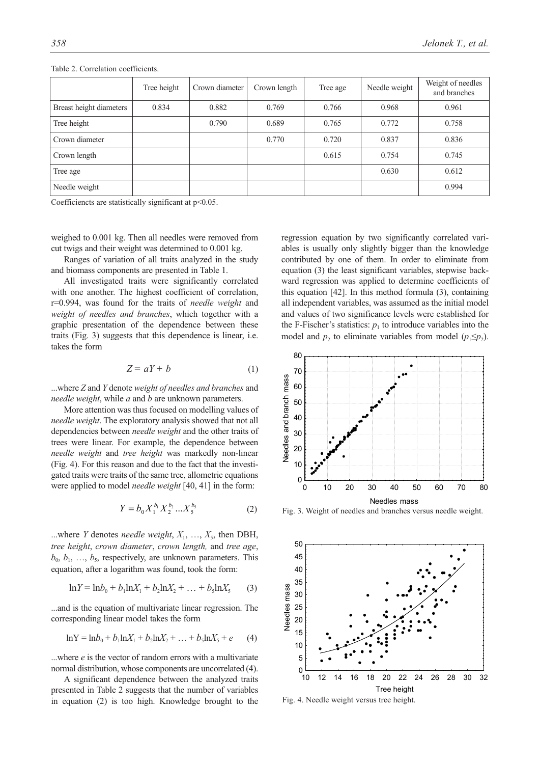|                         | Tree height | Crown diameter | Crown length | Tree age | Needle weight | Weight of needles<br>and branches |  |
|-------------------------|-------------|----------------|--------------|----------|---------------|-----------------------------------|--|
| Breast height diameters | 0.834       | 0.882          | 0.769        | 0.766    | 0.968         | 0.961                             |  |
| Tree height             |             | 0.790          | 0.689        | 0.765    | 0.772         | 0.758                             |  |
| Crown diameter          |             |                | 0.770        | 0.720    | 0.837         | 0.836                             |  |
| Crown length            |             |                |              | 0.615    | 0.754         | 0.745                             |  |
| Tree age                |             |                |              |          | 0.630         | 0.612                             |  |
| Needle weight           |             |                |              |          |               | 0.994                             |  |

Table 2. Correlation coefficients.

Coefficiencts are statistically significant at  $p$ <0.05.

weighed to 0.001 kg. Then all needles were removed from cut twigs and their weight was determined to 0.001 kg.

Ranges of variation of all traits analyzed in the study and biomass components are presented in Table 1.

All investigated traits were significantly correlated with one another. The highest coefficient of correlation, r=0.994, was found for the traits of *needle weight* and *weight of needles and branches*, which together with a graphic presentation of the dependence between these traits (Fig. 3) suggests that this dependence is linear, i.e. takes the form

$$
Z = aY + b \tag{1}
$$

...where *Z* and *Y* denote *weight of needles and branches* and *needle weight*, while *a* and *b* are unknown parameters.

More attention was thus focused on modelling values of *needle weight*. The exploratory analysis showed that not all dependencies between *needle weight* and the other traits of trees were linear. For example, the dependence between *needle weight* and *tree height* was markedly non-linear (Fig. 4). For this reason and due to the fact that the investigated traits were traits of the same tree, allometric equations were applied to model *needle weight* [40, 41] in the form:

$$
Y = b_0 X_1^{b_1} X_2^{b_2} \dots X_5^{b_5} \tag{2}
$$

...where *Y* denotes *needle weight*,  $X_1, \ldots, X_5$ , then DBH, *tree height*, *crown diameter*, *crown length,* and *tree age*,  $b_0$ ,  $b_1$ , ...,  $b_5$ , respectively, are unknown parameters. This equation, after a logarithm was found, took the form:

$$
ln Y = ln b_0 + b_1 ln X_1 + b_2 ln X_2 + \dots + b_5 ln X_5
$$
 (3)

...and is the equation of multivariate linear regression. The corresponding linear model takes the form

$$
ln Y = ln b0 + b1 ln X1 + b2 ln X2 + ... + b5 ln X5 + e
$$
 (4)

...where *e* is the vector of random errors with a multivariate normal distribution, whose components are uncorrelated (4).

A significant dependence between the analyzed traits presented in Table 2 suggests that the number of variables in equation (2) is too high. Knowledge brought to the regression equation by two significantly correlated variables is usually only slightly bigger than the knowledge contributed by one of them. In order to eliminate from equation (3) the least significant variables, stepwise backward regression was applied to determine coefficients of this equation [42]. In this method formula (3), containing all independent variables, was assumed as the initial model and values of two significance levels were established for the F-Fischer's statistics:  $p_1$  to introduce variables into the model and *p*<sub>2</sub> to eliminate variables from model ( $p_1 \leq p_2$ ).



Fig. 3. Weight of needles and branches versus needle weight.



Fig. 4. Needle weight versus tree height.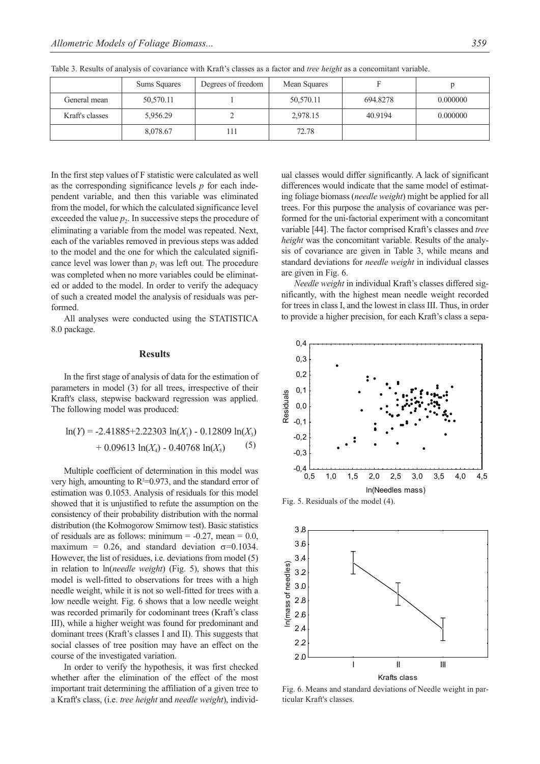|                 | Sums Squares | Degrees of freedom | Mean Squares |          |          |
|-----------------|--------------|--------------------|--------------|----------|----------|
| General mean    | 50,570.11    |                    | 50,570.11    | 694.8278 | 0.000000 |
| Kraft's classes | 5,956.29     |                    | 2,978.15     | 40.9194  | 0.000000 |
|                 | 8,078.67     | 111                | 72.78        |          |          |

Table 3. Results of analysis of covariance with Kraft's classes as a factor and *tree height* as a concomitant variable.

In the first step values of F statistic were calculated as well as the corresponding significance levels *p* for each independent variable, and then this variable was eliminated from the model, for which the calculated significance level exceeded the value  $p<sub>2</sub>$ . In successive steps the procedure of eliminating a variable from the model was repeated. Next, each of the variables removed in previous steps was added to the model and the one for which the calculated significance level was lower than  $p_1$  was left out. The procedure was completed when no more variables could be eliminated or added to the model. In order to verify the adequacy of such a created model the analysis of residuals was performed.

All analyses were conducted using the STATISTICA 8.0 package.

## **Results**

In the first stage of analysis of data for the estimation of parameters in model (3) for all trees, irrespective of their Kraft's class, stepwise backward regression was applied. The following model was produced:

$$
\ln(Y) = -2.41885 + 2.22303 \ln(X_1) - 0.12809 \ln(X_3)
$$
  
+ 0.09613 \ln(X\_4) - 0.40768 \ln(X\_5) (5)

Multiple coefficient of determination in this model was very high, amounting to  $R^2=0.973$ , and the standard error of estimation was 0.1053. Analysis of residuals for this model showed that it is unjustified to refute the assumption on the consistency of their probability distribution with the normal distribution (the Kołmogorow Smirnow test). Basic statistics of residuals are as follows: minimum =  $-0.27$ , mean = 0.0, maximum = 0.26, and standard deviation  $\sigma$ =0.1034. However, the list of residues, i.e. deviations from model (5) in relation to ln(*needle weight*) (Fig. 5), shows that this model is well-fitted to observations for trees with a high needle weight, while it is not so well-fitted for trees with a low needle weight. Fig. 6 shows that a low needle weight was recorded primarily for codominant trees (Kraft's class III), while a higher weight was found for predominant and dominant trees (Kraft's classes I and II). This suggests that social classes of tree position may have an effect on the course of the investigated variation.

In order to verify the hypothesis, it was first checked whether after the elimination of the effect of the most important trait determining the affiliation of a given tree to a Kraft's class, (i.e. *tree height* and *needle weight*), individual classes would differ significantly. A lack of significant differences would indicate that the same model of estimating foliage biomass (*needle weight*) might be applied for all trees. For this purpose the analysis of covariance was performed for the uni-factorial experiment with a concomitant variable [44]. The factor comprised Kraft's classes and *tree height* was the concomitant variable. Results of the analysis of covariance are given in Table 3, while means and standard deviations for *needle weight* in individual classes are given in Fig. 6.

*Needle weight* in individual Kraft's classes differed significantly, with the highest mean needle weight recorded for trees in class I, and the lowest in class III. Thus, in order to provide a higher precision, for each Kraft's class a sepa-



Fig. 5. Residuals of the model (4).



Fig. 6. Means and standard deviations of Needle weight in particular Kraft's classes.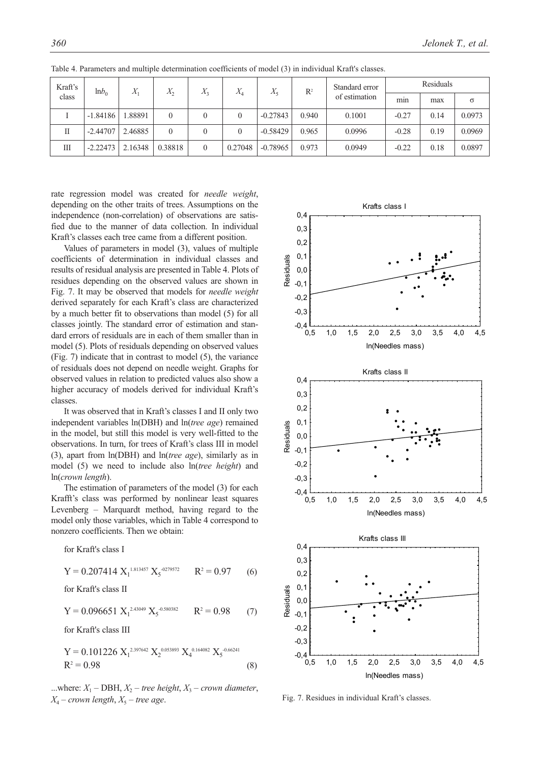| Kraft's<br>class | lnb <sub>0</sub> | X       | $X_2$    | $X_{3}$          | $X_4$   | $X_5$      | $\mathbb{R}^2$ | Standard error<br>of estimation | Residuals |      |          |
|------------------|------------------|---------|----------|------------------|---------|------------|----------------|---------------------------------|-----------|------|----------|
|                  |                  |         |          |                  |         |            |                |                                 | min       | max  | $\sigma$ |
|                  | $-1.84186$       | 1.88891 | $\theta$ | $\boldsymbol{0}$ | 0       | $-0.27843$ | 0.940          | 0.1001                          | $-0.27$   | 0.14 | 0.0973   |
|                  | $-2.44707$       | 2.46885 | $\theta$ | $\theta$         | 0       | $-0.58429$ | 0.965          | 0.0996                          | $-0.28$   | 0.19 | 0.0969   |
| Ш                | $-2.22473$       | 2.16348 | 0.38818  | $\theta$         | 0.27048 | $-0.78965$ | 0.973          | 0.0949                          | $-0.22$   | 0.18 | 0.0897   |

Table 4. Parameters and multiple determination coefficients of model (3) in individual Kraft's classes.

rate regression model was created for *needle weight*, depending on the other traits of trees. Assumptions on the independence (non-correlation) of observations are satisfied due to the manner of data collection. In individual Kraft's classes each tree came from a different position.

Values of parameters in model (3), values of multiple coefficients of determination in individual classes and results of residual analysis are presented in Table 4. Plots of residues depending on the observed values are shown in Fig. 7. It may be observed that models for *needle weight* derived separately for each Kraft's class are characterized by a much better fit to observations than model (5) for all classes jointly. The standard error of estimation and standard errors of residuals are in each of them smaller than in model (5). Plots of residuals depending on observed values (Fig. 7) indicate that in contrast to model (5), the variance of residuals does not depend on needle weight. Graphs for observed values in relation to predicted values also show a higher accuracy of models derived for individual Kraft's classes.

It was observed that in Kraft's classes I and II only two independent variables ln(DBH) and ln(*tree age*) remained in the model, but still this model is very well-fitted to the observations. In turn, for trees of Kraft's class III in model (3), apart from ln(DBH) and ln(*tree age*), similarly as in model (5) we need to include also ln(*tree height*) and ln(*crown length*).

The estimation of parameters of the model (3) for each Krafft's class was performed by nonlinear least squares Levenberg – Marquardt method, having regard to the model only those variables, which in Table 4 correspond to nonzero coefficients. Then we obtain:

for Kraft's class I

$$
Y = 0.207414 X_1^{1.813457} X_5^{-0279572} \qquad R^2 = 0.97 \qquad (6)
$$

for Kraft's class II

$$
Y = 0.096651 X_1^{2.43049} X_5^{-0.580382} \qquad R^2 = 0.98 \tag{7}
$$

for Kraft's class III

$$
Y = 0.101226 X12.397642 X20.053893 X40.164082 X5-0.66241
$$
  
R<sup>2</sup> = 0.98 (8)

...where:  $X_1$  – DBH,  $X_2$  – tree height,  $X_3$  – crown diameter,  $X_4$  – *crown length*,  $X_5$  – *tree age.* 



Fig. 7. Residues in individual Kraft's classes.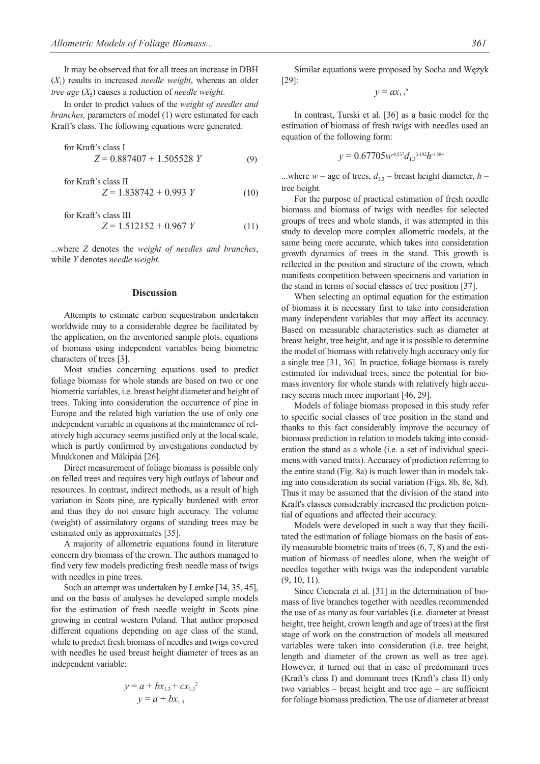It may be observed that for all trees an increase in DBH (*X*1) results in increased *needle weight*, whereas an older *tree age* (*X*5) causes a reduction of *needle weight*.

In order to predict values of the *weight of needles and branches,* parameters of model (1) were estimated for each Kraft's class. The following equations were generated:

for Kraft's class I  
\n
$$
Z = 0.887407 + 1.505528 Y
$$
\n(9)

for Kraft's class II  
\n
$$
Z = 1.838742 + 0.993 Y
$$
 (10)

for Kraft's class III  
\n
$$
Z = 1.512152 + 0.967 Y
$$
\n(11)

...where *Z* denotes the *weight of needles and branches*, while *Y* denotes *needle weight*.

## **Discussion**

Attempts to estimate carbon sequestration undertaken worldwide may to a considerable degree be facilitated by the application, on the inventoried sample plots, equations of biomass using independent variables being biometric characters of trees [3].

Most studies concerning equations used to predict foliage biomass for whole stands are based on two or one biometric variables, i.e. breast height diameter and height of trees. Taking into consideration the occurrence of pine in Europe and the related high variation the use of only one independent variable in equations at the maintenance of relatively high accuracy seems justified only at the local scale, which is partly confirmed by investigations conducted by Muukkonen and Mäkipää [26].

Direct measurement of foliage biomass is possible only on felled trees and requires very high outlays of labour and resources. In contrast, indirect methods, as a result of high variation in Scots pine, are typically burdened with error and thus they do not ensure high accuracy. The volume (weight) of assimilatory organs of standing trees may be estimated only as approximates [35].

A majority of allometric equations found in literature concern dry biomass of the crown. The authors managed to find very few models predicting fresh needle mass of twigs with needles in pine trees.

Such an attempt was undertaken by Lemke [34, 35, 45], and on the basis of analyses he developed simple models for the estimation of fresh needle weight in Scots pine growing in central western Poland. That author proposed different equations depending on age class of the stand, while to predict fresh biomass of needles and twigs covered with needles he used breast height diameter of trees as an independent variable:

$$
y = a + bx_{1.3} + cx_{1.3}^{2}
$$

$$
y = a + bx_{1.3}
$$

Similar equations were proposed by Socha and Wężyk [29]:

$$
y = ax_{1,3}^{\ b}
$$

In contrast, Turski et al. [36] as a basic model for the estimation of biomass of fresh twigs with needles used an equation of the following form:

$$
y = 0.67705w^{0.537}d_{1.3}^{3.192}h^{1.384}
$$

...where  $w$  – age of trees,  $d_{1,3}$  – breast height diameter,  $h$  – tree height.

For the purpose of practical estimation of fresh needle biomass and biomass of twigs with needles for selected groups of trees and whole stands, it was attempted in this study to develop more complex allometric models, at the same being more accurate, which takes into consideration growth dynamics of trees in the stand. This growth is reflected in the position and structure of the crown, which manifests competition between specimens and variation in the stand in terms of social classes of tree position [37].

When selecting an optimal equation for the estimation of biomass it is necessary first to take into consideration many independent variables that may affect its accuracy. Based on measurable characteristics such as diameter at breast height, tree height, and age it is possible to determine the model of biomass with relatively high accuracy only for a single tree [31, 36]. In practice, foliage biomass is rarely estimated for individual trees, since the potential for biomass inventory for whole stands with relatively high accuracy seems much more important [46, 29].

Models of foliage biomass proposed in this study refer to specific social classes of tree position in the stand and thanks to this fact considerably improve the accuracy of biomass prediction in relation to models taking into consideration the stand as a whole (i.e. a set of individual specimens with varied traits). Accuracy of prediction referring to the entire stand (Fig. 8a) is much lower than in models taking into consideration its social variation (Figs. 8b, 8c, 8d). Thus it may be assumed that the division of the stand into Kraft's classes considerably increased the prediction potential of equations and affected their accuracy.

Models were developed in such a way that they facilitated the estimation of foliage biomass on the basis of easily measurable biometric traits of trees (6, 7, 8) and the estimation of biomass of needles alone, when the weight of needles together with twigs was the independent variable (9, 10, 11).

Since Cienciala et al. [31] in the determination of biomass of live branches together with needles recommended the use of as many as four variables (i.e. diameter at breast height, tree height, crown length and age of trees) at the first stage of work on the construction of models all measured variables were taken into consideration (i.e. tree height, length and diameter of the crown as well as tree age). However, it turned out that in case of predominant trees (Kraft's class I) and dominant trees (Kraft's class II) only two variables – breast height and tree age – are sufficient for foliage biomass prediction. The use of diameter at breast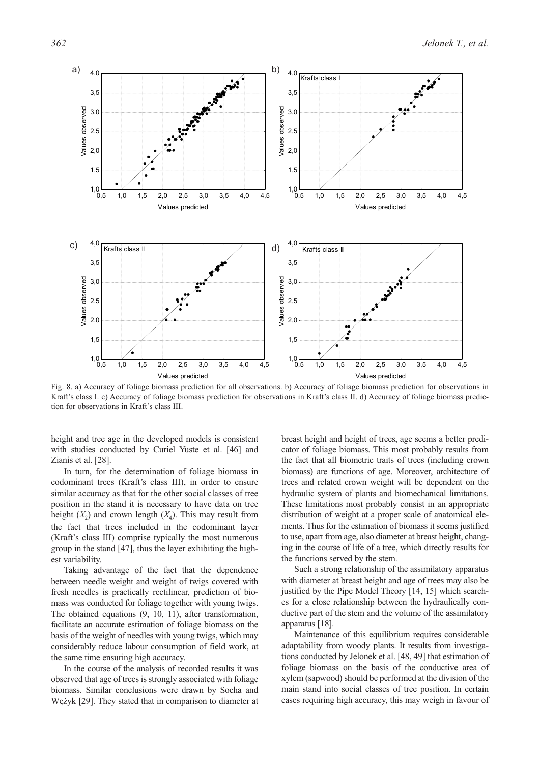

Fig. 8. a) Accuracy of foliage biomass prediction for all observations. b) Accuracy of foliage biomass prediction for observations in Kraft's class I. c) Accuracy of foliage biomass prediction for observations in Kraft's class II. d) Accuracy of foliage biomass prediction for observations in Kraft's class III.

height and tree age in the developed models is consistent with studies conducted by Curiel Yuste et al. [46] and Zianis et al. [28].

In turn, for the determination of foliage biomass in codominant trees (Kraft's class III), in order to ensure similar accuracy as that for the other social classes of tree position in the stand it is necessary to have data on tree height  $(X_2)$  and crown length  $(X_4)$ . This may result from the fact that trees included in the codominant layer (Kraft's class III) comprise typically the most numerous group in the stand [47], thus the layer exhibiting the highest variability.

Taking advantage of the fact that the dependence between needle weight and weight of twigs covered with fresh needles is practically rectilinear, prediction of biomass was conducted for foliage together with young twigs. The obtained equations (9, 10, 11), after transformation, facilitate an accurate estimation of foliage biomass on the basis of the weight of needles with young twigs, which may considerably reduce labour consumption of field work, at the same time ensuring high accuracy.

In the course of the analysis of recorded results it was observed that age of trees is strongly associated with foliage biomass. Similar conclusions were drawn by Socha and Wężyk [29]. They stated that in comparison to diameter at breast height and height of trees, age seems a better predicator of foliage biomass. This most probably results from the fact that all biometric traits of trees (including crown biomass) are functions of age. Moreover, architecture of trees and related crown weight will be dependent on the hydraulic system of plants and biomechanical limitations. These limitations most probably consist in an appropriate distribution of weight at a proper scale of anatomical elements. Thus for the estimation of biomass it seems justified to use, apart from age, also diameter at breast height, changing in the course of life of a tree, which directly results for the functions served by the stem.

Such a strong relationship of the assimilatory apparatus with diameter at breast height and age of trees may also be justified by the Pipe Model Theory [14, 15] which searches for a close relationship between the hydraulically conductive part of the stem and the volume of the assimilatory apparatus [18].

Maintenance of this equilibrium requires considerable adaptability from woody plants. It results from investigations conducted by Jelonek et al. [48, 49] that estimation of foliage biomass on the basis of the conductive area of xylem (sapwood) should be performed at the division of the main stand into social classes of tree position. In certain cases requiring high accuracy, this may weigh in favour of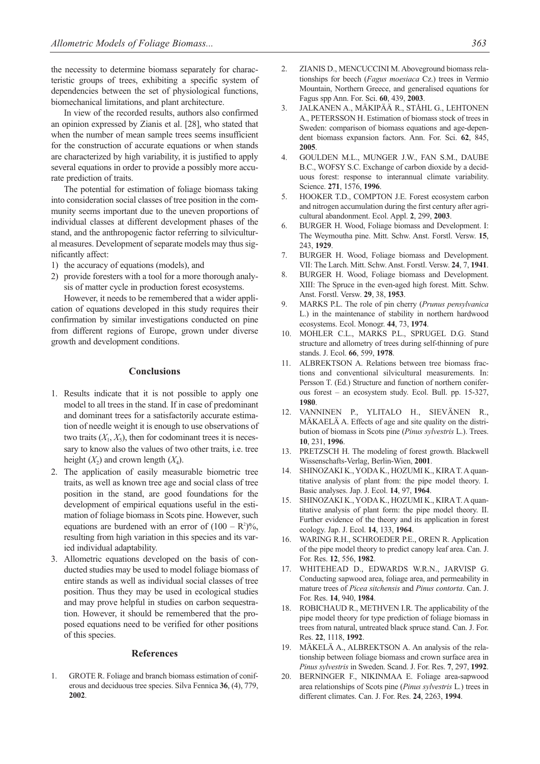the necessity to determine biomass separately for characteristic groups of trees, exhibiting a specific system of dependencies between the set of physiological functions, biomechanical limitations, and plant architecture.

In view of the recorded results, authors also confirmed an opinion expressed by Zianis et al. [28], who stated that when the number of mean sample trees seems insufficient for the construction of accurate equations or when stands are characterized by high variability, it is justified to apply several equations in order to provide a possibly more accurate prediction of traits.

The potential for estimation of foliage biomass taking into consideration social classes of tree position in the community seems important due to the uneven proportions of individual classes at different development phases of the stand, and the anthropogenic factor referring to silvicultural measures. Development of separate models may thus significantly affect:

- 1) the accuracy of equations (models), and
- 2) provide foresters with a tool for a more thorough analysis of matter cycle in production forest ecosystems.

However, it needs to be remembered that a wider application of equations developed in this study requires their confirmation by similar investigations conducted on pine from different regions of Europe, grown under diverse growth and development conditions.

## **Conclusions**

- 1. Results indicate that it is not possible to apply one model to all trees in the stand. If in case of predominant and dominant trees for a satisfactorily accurate estimation of needle weight it is enough to use observations of two traits  $(X_1, X_5)$ , then for codominant trees it is necessary to know also the values of two other traits, i.e. tree height  $(X_2)$  and crown length  $(X_4)$ .
- 2. The application of easily measurable biometric tree traits, as well as known tree age and social class of tree position in the stand, are good foundations for the development of empirical equations useful in the estimation of foliage biomass in Scots pine. However, such equations are burdened with an error of  $(100 - R^2)\%$ , resulting from high variation in this species and its varied individual adaptability.
- 3. Allometric equations developed on the basis of conducted studies may be used to model foliage biomass of entire stands as well as individual social classes of tree position. Thus they may be used in ecological studies and may prove helpful in studies on carbon sequestration. However, it should be remembered that the proposed equations need to be verified for other positions of this species.

#### **References**

1. GROTE R. Foliage and branch biomass estimation of coniferous and deciduous tree species. Silva Fennica **36**, (4), 779, **2002**.

- 2. ZIANIS D., MENCUCCINI M. Aboveground biomass relationships for beech (*Fagus moesiaca* Cz.) trees in Vermio Mountain, Northern Greece, and generalised equations for Fagus spp Ann. For. Sci. **60**, 439, **2003**.
- 3. JALKANEN A., MÄKIPÄÄ R., STÅHL G., LEHTONEN A., PETERSSON H. Estimation of biomass stock of trees in Sweden: comparison of biomass equations and age-dependent biomass expansion factors. Ann. For. Sci. **62**, 845, **2005**.
- 4. GOULDEN M.L., MUNGER J.W., FAN S.M., DAUBE B.C., WOFSY S.C. Exchange of carbon dioxide by a deciduous forest: response to interannual climate variability. Science. **271**, 1576, **1996**.
- 5. HOOKER T.D., COMPTON J.E. Forest ecosystem carbon and nitrogen accumulation during the first century after agricultural abandonment. Ecol. Appl. **2**, 299, **2003**.
- 6. BURGER H. Wood, Foliage biomass and Development. I: The Weymoutha pine. Mitt. Schw. Anst. Forstl. Versw. **15**, 243, **1929**.
- 7. BURGER H. Wood, Foliage biomass and Development. VII: The Larch. Mitt. Schw. Anst. Forstl. Versw. **24**, 7, **1941**.
- 8. BURGER H. Wood, Foliage biomass and Development. XIII: The Spruce in the even-aged high forest. Mitt. Schw. Anst. Forstl. Versw. **29**, 38, **1953**.
- 9. MARKS P.L. The role of pin cherry (*Prunus pensylvanica* L.) in the maintenance of stability in northern hardwood ecosystems. Ecol. Monogr. **44**, 73, **1974**.
- 10. MOHLER C.L., MARKS P.L., SPRUGEL D.G. Stand structure and allometry of trees during self-thinning of pure stands. J. Ecol. **66**, 599, **1978**.
- 11. ALBREKTSON A. Relations between tree biomass fractions and conventional silvicultural measurements. In: Persson T. (Ed.) Structure and function of northern coniferous forest – an ecosystem study. Ecol. Bull. pp. 15-327, **1980**.
- 12. VANNINEN P., YLITALO H., SIEVÄNEN R., MÄKAELÄ A. Effects of age and site quality on the distribution of biomass in Scots pine (*Pinus sylvestris* L.). Trees. **10**, 231, **1996**.
- 13. PRETZSCH H. The modeling of forest growth. Blackwell Wissenschafts-Verlag, Berlin-Wien, **2001**.
- SHINOZAKI K., YODA K., HOZUMI K., KIRA T. A quantitative analysis of plant from: the pipe model theory. I. Basic analyses. Jap. J. Ecol. **14**, 97, **1964**.
- 15. SHINOZAKI K., YODA K., HOZUMI K., KIRA T. A quantitative analysis of plant form: the pipe model theory. II. Further evidence of the theory and its application in forest ecology. Jap. J. Ecol. **14**, 133, **1964**.
- 16. WARING R.H., SCHROEDER P.E., OREN R. Application of the pipe model theory to predict canopy leaf area. Can. J. For. Res. **12**, 556, **1982**.
- 17. WHITEHEAD D., EDWARDS W.R.N., JARVISP G. Conducting sapwood area, foliage area, and permeability in mature trees of *Picea sitchensis* and *Pinus contorta*. Can. J. For. Res. **14**, 940, **1984**.
- 18. ROBICHAUD R., METHVEN I.R. The applicability of the pipe model theory for type prediction of foliage biomass in trees from natural, untreated black spruce stand. Can. J. For. Res. **22**, 1118, **1992**.
- 19. MÄKELÄ A., ALBREKTSON A. An analysis of the relationship between foliage biomass and crown surface area in *Pinus sylvestris* in Sweden. Scand. J. For. Res. **7**, 297, **1992**.
- 20. BERNINGER F., NIKINMAA E. Foliage area-sapwood area relationships of Scots pine (*Pinus sylvestris* L*.*) trees in different climates. Can. J. For. Res. **24**, 2263, **1994**.